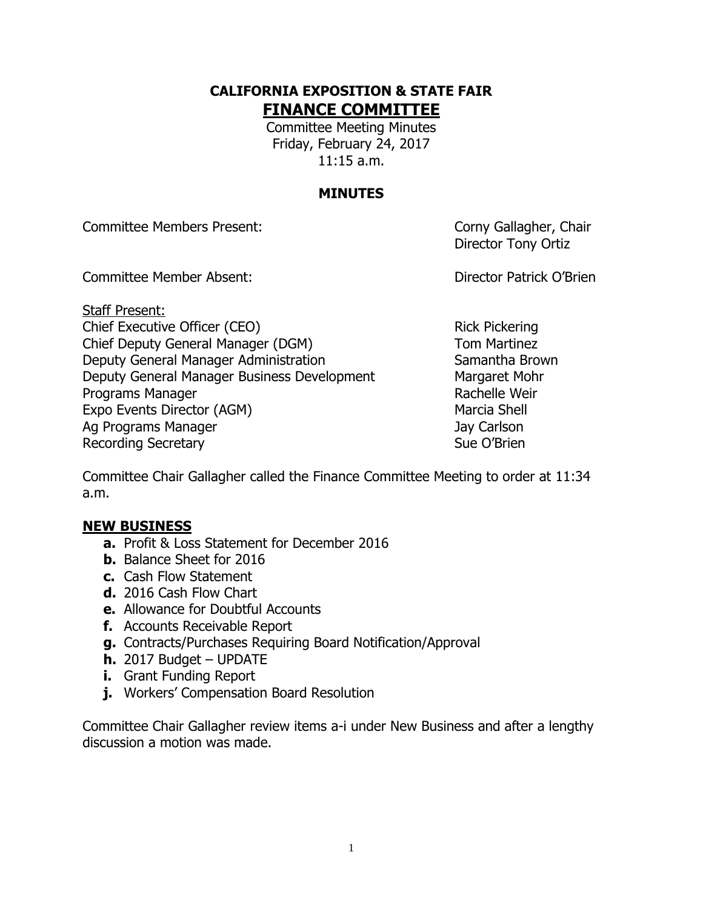## **CALIFORNIA EXPOSITION & STATE FAIR FINANCE COMMITTEE**

Committee Meeting Minutes Friday, February 24, 2017 11:15 a.m.

## **MINUTES**

Committee Members Present: Committee Members Present:

Director Tony Ortiz

Committee Member Absent: Director Patrick O'Brien

Staff Present: Chief Executive Officer (CEO) Rick Pickering Chief Deputy General Manager (DGM) Tom Martinez Deputy General Manager Administration Samantha Brown Deputy General Manager Business Development Margaret Mohr Programs Manager **Rachelle Weir** Rachelle Weir Expo Events Director (AGM) Marcia Shell Ag Programs Manager **Jay Carlson** Recording Secretary **Sue O'Brien** Sue O'Brien

Committee Chair Gallagher called the Finance Committee Meeting to order at 11:34 a.m.

## **NEW BUSINESS**

- **a.** Profit & Loss Statement for December 2016
- **b.** Balance Sheet for 2016
- **c.** Cash Flow Statement
- **d.** 2016 Cash Flow Chart
- **e.** Allowance for Doubtful Accounts
- **f.** Accounts Receivable Report
- **g.** Contracts/Purchases Requiring Board Notification/Approval
- **h.** 2017 Budget UPDATE
- **i.** Grant Funding Report
- **j.** Workers' Compensation Board Resolution

Committee Chair Gallagher review items a-i under New Business and after a lengthy discussion a motion was made.